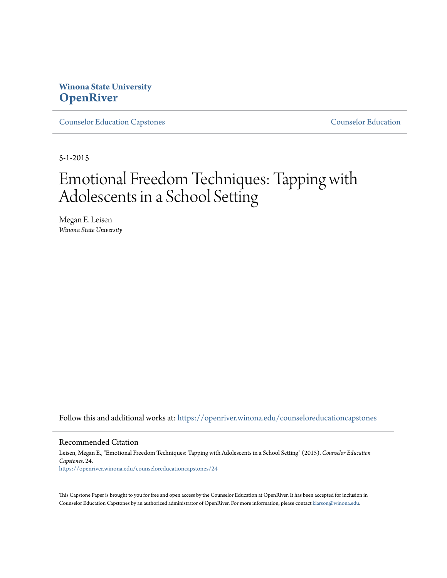# **Winona State University [OpenRiver](https://openriver.winona.edu?utm_source=openriver.winona.edu%2Fcounseloreducationcapstones%2F24&utm_medium=PDF&utm_campaign=PDFCoverPages)**

[Counselor Education Capstones](https://openriver.winona.edu/counseloreducationcapstones?utm_source=openriver.winona.edu%2Fcounseloreducationcapstones%2F24&utm_medium=PDF&utm_campaign=PDFCoverPages) [Counselor Education](https://openriver.winona.edu/counseloreducation?utm_source=openriver.winona.edu%2Fcounseloreducationcapstones%2F24&utm_medium=PDF&utm_campaign=PDFCoverPages)

5-1-2015

# Emotional Freedom Techniques: Tapping with Adolescents in a School Setting

Megan E. Leisen *Winona State University*

Follow this and additional works at: [https://openriver.winona.edu/counseloreducationcapstones](https://openriver.winona.edu/counseloreducationcapstones?utm_source=openriver.winona.edu%2Fcounseloreducationcapstones%2F24&utm_medium=PDF&utm_campaign=PDFCoverPages)

#### Recommended Citation

Leisen, Megan E., "Emotional Freedom Techniques: Tapping with Adolescents in a School Setting" (2015). *Counselor Education Capstones*. 24. [https://openriver.winona.edu/counseloreducationcapstones/24](https://openriver.winona.edu/counseloreducationcapstones/24?utm_source=openriver.winona.edu%2Fcounseloreducationcapstones%2F24&utm_medium=PDF&utm_campaign=PDFCoverPages)

This Capstone Paper is brought to you for free and open access by the Counselor Education at OpenRiver. It has been accepted for inclusion in Counselor Education Capstones by an authorized administrator of OpenRiver. For more information, please contact [klarson@winona.edu](mailto:klarson@winona.edu).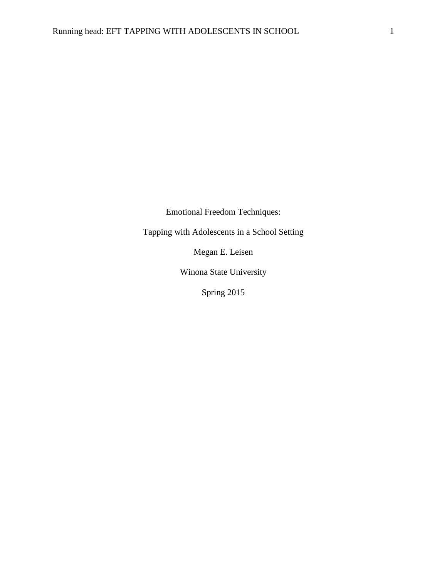Emotional Freedom Techniques:

Tapping with Adolescents in a School Setting

Megan E. Leisen

Winona State University

Spring 2015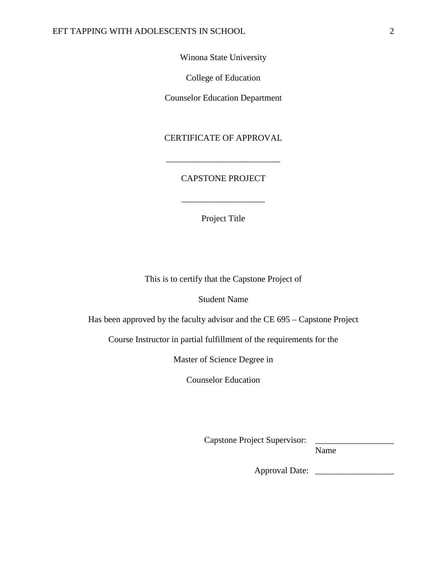Winona State University

College of Education

Counselor Education Department

CERTIFICATE OF APPROVAL

\_\_\_\_\_\_\_\_\_\_\_\_\_\_\_\_\_\_\_\_\_\_\_\_\_\_

## CAPSTONE PROJECT

Project Title

\_\_\_\_\_\_\_\_\_\_\_\_\_\_\_\_\_\_\_

This is to certify that the Capstone Project of

Student Name

Has been approved by the faculty advisor and the CE 695 – Capstone Project

Course Instructor in partial fulfillment of the requirements for the

Master of Science Degree in

Counselor Education

Capstone Project Supervisor:

Name

Approval Date: \_\_\_\_\_\_\_\_\_\_\_\_\_\_\_\_\_\_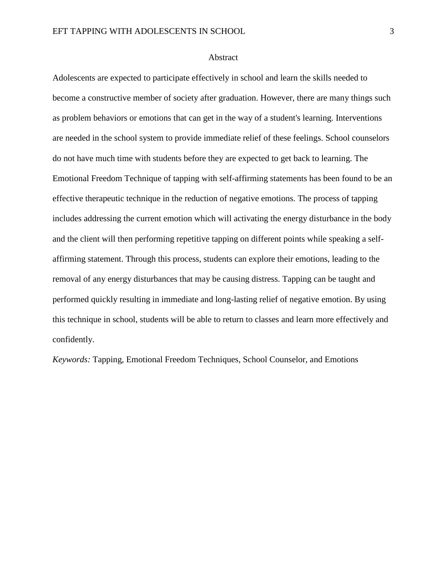## Abstract

Adolescents are expected to participate effectively in school and learn the skills needed to become a constructive member of society after graduation. However, there are many things such as problem behaviors or emotions that can get in the way of a student's learning. Interventions are needed in the school system to provide immediate relief of these feelings. School counselors do not have much time with students before they are expected to get back to learning. The Emotional Freedom Technique of tapping with self-affirming statements has been found to be an effective therapeutic technique in the reduction of negative emotions. The process of tapping includes addressing the current emotion which will activating the energy disturbance in the body and the client will then performing repetitive tapping on different points while speaking a selfaffirming statement. Through this process, students can explore their emotions, leading to the removal of any energy disturbances that may be causing distress. Tapping can be taught and performed quickly resulting in immediate and long-lasting relief of negative emotion. By using this technique in school, students will be able to return to classes and learn more effectively and confidently.

*Keywords:* Tapping, Emotional Freedom Techniques, School Counselor, and Emotions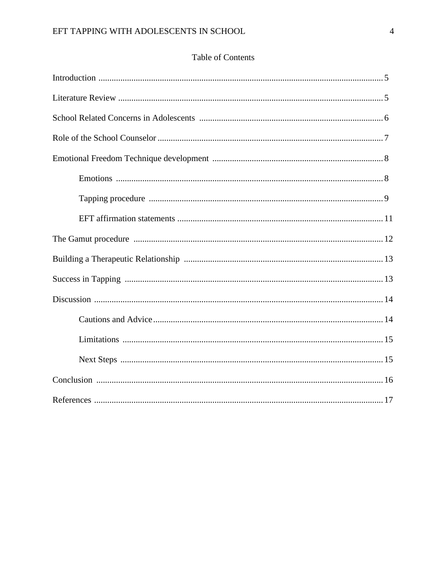## Table of Contents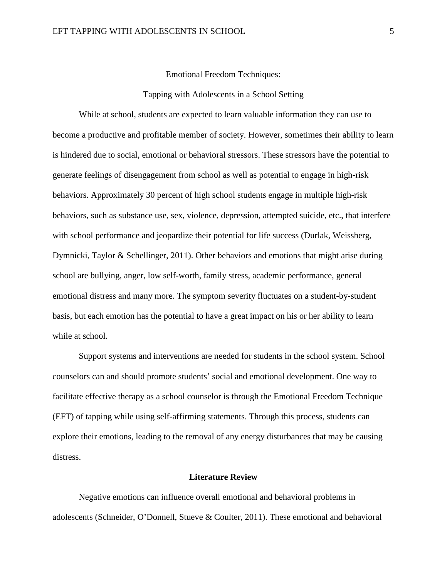Emotional Freedom Techniques:

## Tapping with Adolescents in a School Setting

While at school, students are expected to learn valuable information they can use to become a productive and profitable member of society. However, sometimes their ability to learn is hindered due to social, emotional or behavioral stressors. These stressors have the potential to generate feelings of disengagement from school as well as potential to engage in high-risk behaviors. Approximately 30 percent of high school students engage in multiple high-risk behaviors, such as substance use, sex, violence, depression, attempted suicide, etc., that interfere with school performance and jeopardize their potential for life success (Durlak, Weissberg, Dymnicki, Taylor & Schellinger, 2011). Other behaviors and emotions that might arise during school are bullying, anger, low self-worth, family stress, academic performance, general emotional distress and many more. The symptom severity fluctuates on a student-by-student basis, but each emotion has the potential to have a great impact on his or her ability to learn while at school.

Support systems and interventions are needed for students in the school system. School counselors can and should promote students' social and emotional development. One way to facilitate effective therapy as a school counselor is through the Emotional Freedom Technique (EFT) of tapping while using self-affirming statements. Through this process, students can explore their emotions, leading to the removal of any energy disturbances that may be causing distress.

## **Literature Review**

Negative emotions can influence overall emotional and behavioral problems in adolescents (Schneider, O'Donnell, Stueve & Coulter, 2011). These emotional and behavioral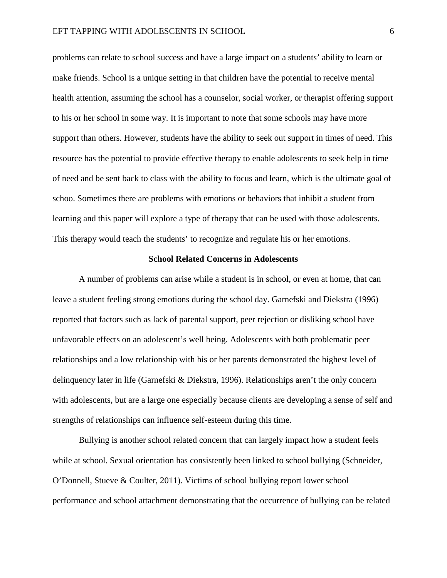problems can relate to school success and have a large impact on a students' ability to learn or make friends. School is a unique setting in that children have the potential to receive mental health attention, assuming the school has a counselor, social worker, or therapist offering support to his or her school in some way. It is important to note that some schools may have more support than others. However, students have the ability to seek out support in times of need. This resource has the potential to provide effective therapy to enable adolescents to seek help in time of need and be sent back to class with the ability to focus and learn, which is the ultimate goal of schoo. Sometimes there are problems with emotions or behaviors that inhibit a student from learning and this paper will explore a type of therapy that can be used with those adolescents. This therapy would teach the students' to recognize and regulate his or her emotions.

### **School Related Concerns in Adolescents**

A number of problems can arise while a student is in school, or even at home, that can leave a student feeling strong emotions during the school day. Garnefski and Diekstra (1996) reported that factors such as lack of parental support, peer rejection or disliking school have unfavorable effects on an adolescent's well being. Adolescents with both problematic peer relationships and a low relationship with his or her parents demonstrated the highest level of delinquency later in life (Garnefski & Diekstra, 1996). Relationships aren't the only concern with adolescents, but are a large one especially because clients are developing a sense of self and strengths of relationships can influence self-esteem during this time.

Bullying is another school related concern that can largely impact how a student feels while at school. Sexual orientation has consistently been linked to school bullying (Schneider, O'Donnell, Stueve & Coulter, 2011). Victims of school bullying report lower school performance and school attachment demonstrating that the occurrence of bullying can be related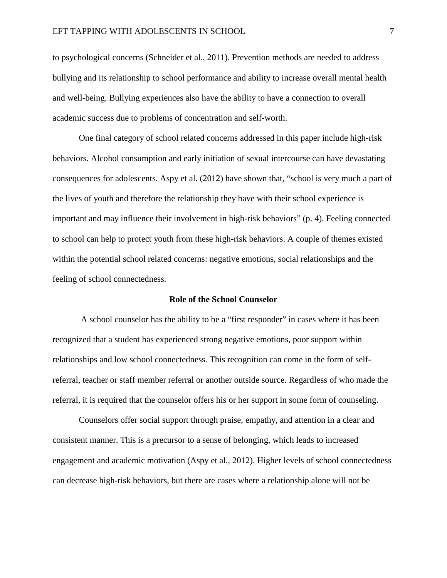to psychological concerns (Schneider et al., 2011). Prevention methods are needed to address bullying and its relationship to school performance and ability to increase overall mental health and well-being. Bullying experiences also have the ability to have a connection to overall academic success due to problems of concentration and self-worth.

One final category of school related concerns addressed in this paper include high-risk behaviors. Alcohol consumption and early initiation of sexual intercourse can have devastating consequences for adolescents. Aspy et al. (2012) have shown that, "school is very much a part of the lives of youth and therefore the relationship they have with their school experience is important and may influence their involvement in high-risk behaviors" (p. 4). Feeling connected to school can help to protect youth from these high-risk behaviors. A couple of themes existed within the potential school related concerns: negative emotions, social relationships and the feeling of school connectedness.

#### **Role of the School Counselor**

A school counselor has the ability to be a "first responder" in cases where it has been recognized that a student has experienced strong negative emotions, poor support within relationships and low school connectedness. This recognition can come in the form of selfreferral, teacher or staff member referral or another outside source. Regardless of who made the referral, it is required that the counselor offers his or her support in some form of counseling.

Counselors offer social support through praise, empathy, and attention in a clear and consistent manner. This is a precursor to a sense of belonging, which leads to increased engagement and academic motivation (Aspy et al., 2012). Higher levels of school connectedness can decrease high-risk behaviors, but there are cases where a relationship alone will not be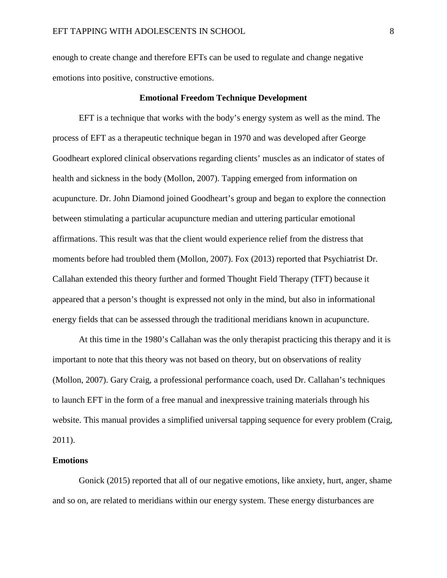enough to create change and therefore EFTs can be used to regulate and change negative emotions into positive, constructive emotions.

## **Emotional Freedom Technique Development**

EFT is a technique that works with the body's energy system as well as the mind. The process of EFT as a therapeutic technique began in 1970 and was developed after George Goodheart explored clinical observations regarding clients' muscles as an indicator of states of health and sickness in the body (Mollon, 2007). Tapping emerged from information on acupuncture. Dr. John Diamond joined Goodheart's group and began to explore the connection between stimulating a particular acupuncture median and uttering particular emotional affirmations. This result was that the client would experience relief from the distress that moments before had troubled them (Mollon, 2007). Fox (2013) reported that Psychiatrist Dr. Callahan extended this theory further and formed Thought Field Therapy (TFT) because it appeared that a person's thought is expressed not only in the mind, but also in informational energy fields that can be assessed through the traditional meridians known in acupuncture.

At this time in the 1980's Callahan was the only therapist practicing this therapy and it is important to note that this theory was not based on theory, but on observations of reality (Mollon, 2007). Gary Craig, a professional performance coach, used Dr. Callahan's techniques to launch EFT in the form of a free manual and inexpressive training materials through his website. This manual provides a simplified universal tapping sequence for every problem (Craig, 2011).

#### **Emotions**

Gonick (2015) reported that all of our negative emotions, like anxiety, hurt, anger, shame and so on, are related to meridians within our energy system. These energy disturbances are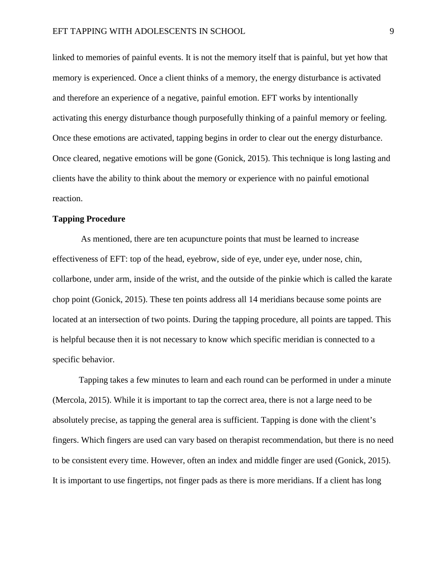linked to memories of painful events. It is not the memory itself that is painful, but yet how that memory is experienced. Once a client thinks of a memory, the energy disturbance is activated and therefore an experience of a negative, painful emotion. EFT works by intentionally activating this energy disturbance though purposefully thinking of a painful memory or feeling. Once these emotions are activated, tapping begins in order to clear out the energy disturbance. Once cleared, negative emotions will be gone (Gonick, 2015). This technique is long lasting and clients have the ability to think about the memory or experience with no painful emotional reaction.

## **Tapping Procedure**

As mentioned, there are ten acupuncture points that must be learned to increase effectiveness of EFT: top of the head, eyebrow, side of eye, under eye, under nose, chin, collarbone, under arm, inside of the wrist, and the outside of the pinkie which is called the karate chop point (Gonick, 2015). These ten points address all 14 meridians because some points are located at an intersection of two points. During the tapping procedure, all points are tapped. This is helpful because then it is not necessary to know which specific meridian is connected to a specific behavior.

Tapping takes a few minutes to learn and each round can be performed in under a minute (Mercola, 2015). While it is important to tap the correct area, there is not a large need to be absolutely precise, as tapping the general area is sufficient. Tapping is done with the client's fingers. Which fingers are used can vary based on therapist recommendation, but there is no need to be consistent every time. However, often an index and middle finger are used (Gonick, 2015). It is important to use fingertips, not finger pads as there is more meridians. If a client has long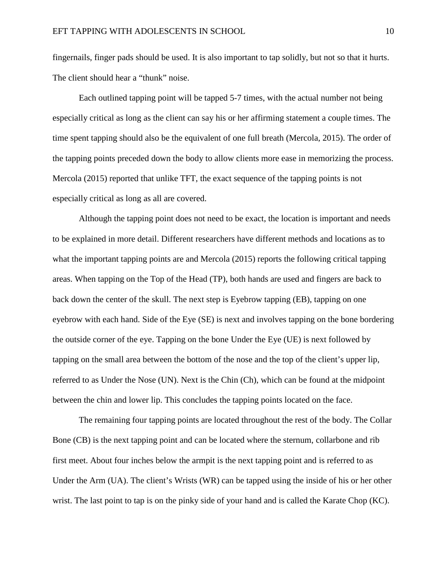fingernails, finger pads should be used. It is also important to tap solidly, but not so that it hurts. The client should hear a "thunk" noise.

Each outlined tapping point will be tapped 5-7 times, with the actual number not being especially critical as long as the client can say his or her affirming statement a couple times. The time spent tapping should also be the equivalent of one full breath (Mercola, 2015). The order of the tapping points preceded down the body to allow clients more ease in memorizing the process. Mercola (2015) reported that unlike TFT, the exact sequence of the tapping points is not especially critical as long as all are covered.

Although the tapping point does not need to be exact, the location is important and needs to be explained in more detail. Different researchers have different methods and locations as to what the important tapping points are and Mercola (2015) reports the following critical tapping areas. When tapping on the Top of the Head (TP), both hands are used and fingers are back to back down the center of the skull. The next step is Eyebrow tapping (EB), tapping on one eyebrow with each hand. Side of the Eye (SE) is next and involves tapping on the bone bordering the outside corner of the eye. Tapping on the bone Under the Eye (UE) is next followed by tapping on the small area between the bottom of the nose and the top of the client's upper lip, referred to as Under the Nose (UN). Next is the Chin (Ch), which can be found at the midpoint between the chin and lower lip. This concludes the tapping points located on the face.

The remaining four tapping points are located throughout the rest of the body. The Collar Bone (CB) is the next tapping point and can be located where the sternum, collarbone and rib first meet. About four inches below the armpit is the next tapping point and is referred to as Under the Arm (UA). The client's Wrists (WR) can be tapped using the inside of his or her other wrist. The last point to tap is on the pinky side of your hand and is called the Karate Chop (KC).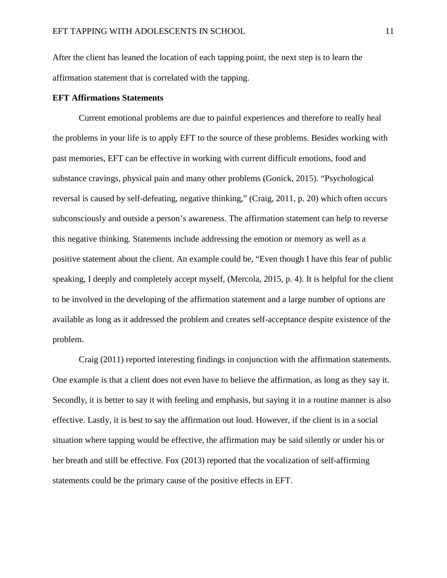After the client has leaned the location of each tapping point, the next step is to learn the affirmation statement that is correlated with the tapping.

## **EFT Affirmations Statements**

Current emotional problems are due to painful experiences and therefore to really heal the problems in your life is to apply EFT to the source of these problems. Besides working with past memories, EFT can be effective in working with current difficult emotions, food and substance cravings, physical pain and many other problems (Gonick, 2015). "Psychological reversal is caused by self-defeating, negative thinking," (Craig, 2011, p. 20) which often occurs subconsciously and outside a person's awareness. The affirmation statement can help to reverse this negative thinking. Statements include addressing the emotion or memory as well as a positive statement about the client. An example could be, "Even though I have this fear of public speaking, I deeply and completely accept myself, (Mercola, 2015, p. 4). It is helpful for the client to be involved in the developing of the affirmation statement and a large number of options are available as long as it addressed the problem and creates self-acceptance despite existence of the problem.

Craig (2011) reported interesting findings in conjunction with the affirmation statements. One example is that a client does not even have to believe the affirmation, as long as they say it. Secondly, it is better to say it with feeling and emphasis, but saying it in a routine manner is also effective. Lastly, it is best to say the affirmation out loud. However, if the client is in a social situation where tapping would be effective, the affirmation may be said silently or under his or her breath and still be effective. Fox (2013) reported that the vocalization of self-affirming statements could be the primary cause of the positive effects in EFT.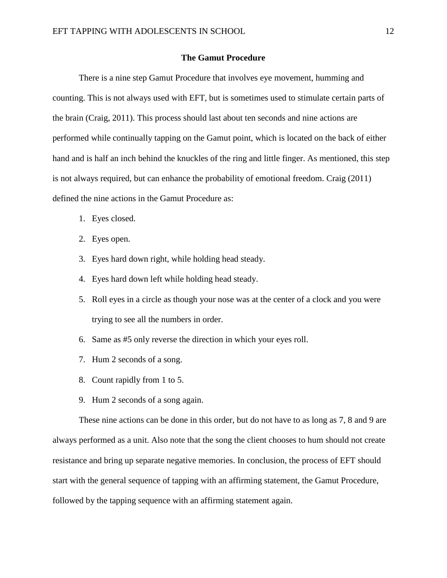## **The Gamut Procedure**

There is a nine step Gamut Procedure that involves eye movement, humming and counting. This is not always used with EFT, but is sometimes used to stimulate certain parts of the brain (Craig, 2011). This process should last about ten seconds and nine actions are performed while continually tapping on the Gamut point, which is located on the back of either hand and is half an inch behind the knuckles of the ring and little finger. As mentioned, this step is not always required, but can enhance the probability of emotional freedom. Craig (2011) defined the nine actions in the Gamut Procedure as:

- 1. Eyes closed.
- 2. Eyes open.
- 3. Eyes hard down right, while holding head steady.
- 4. Eyes hard down left while holding head steady.
- 5. Roll eyes in a circle as though your nose was at the center of a clock and you were trying to see all the numbers in order.
- 6. Same as #5 only reverse the direction in which your eyes roll.
- 7. Hum 2 seconds of a song.
- 8. Count rapidly from 1 to 5.
- 9. Hum 2 seconds of a song again.

These nine actions can be done in this order, but do not have to as long as 7, 8 and 9 are always performed as a unit. Also note that the song the client chooses to hum should not create resistance and bring up separate negative memories. In conclusion, the process of EFT should start with the general sequence of tapping with an affirming statement, the Gamut Procedure, followed by the tapping sequence with an affirming statement again.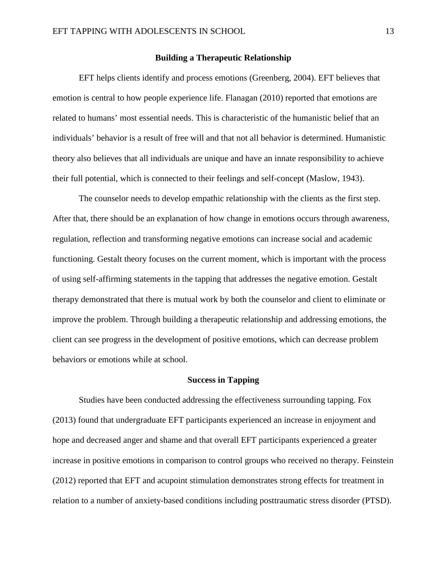## **Building a Therapeutic Relationship**

EFT helps clients identify and process emotions (Greenberg, 2004). EFT believes that emotion is central to how people experience life. Flanagan (2010) reported that emotions are related to humans' most essential needs. This is characteristic of the humanistic belief that an individuals' behavior is a result of free will and that not all behavior is determined. Humanistic theory also believes that all individuals are unique and have an innate responsibility to achieve their full potential, which is connected to their feelings and self-concept (Maslow, 1943).

The counselor needs to develop empathic relationship with the clients as the first step. After that, there should be an explanation of how change in emotions occurs through awareness, regulation, reflection and transforming negative emotions can increase social and academic functioning. Gestalt theory focuses on the current moment, which is important with the process of using self-affirming statements in the tapping that addresses the negative emotion. Gestalt therapy demonstrated that there is mutual work by both the counselor and client to eliminate or improve the problem. Through building a therapeutic relationship and addressing emotions, the client can see progress in the development of positive emotions, which can decrease problem behaviors or emotions while at school.

## **Success in Tapping**

Studies have been conducted addressing the effectiveness surrounding tapping. Fox (2013) found that undergraduate EFT participants experienced an increase in enjoyment and hope and decreased anger and shame and that overall EFT participants experienced a greater increase in positive emotions in comparison to control groups who received no therapy. Feinstein (2012) reported that EFT and acupoint stimulation demonstrates strong effects for treatment in relation to a number of anxiety-based conditions including posttraumatic stress disorder (PTSD).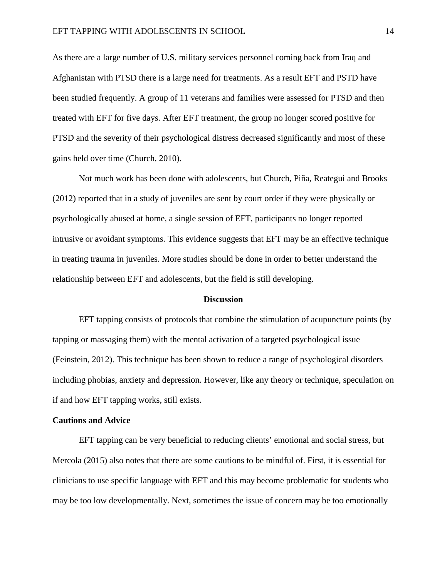As there are a large number of U.S. military services personnel coming back from Iraq and Afghanistan with PTSD there is a large need for treatments. As a result EFT and PSTD have been studied frequently. A group of 11 veterans and families were assessed for PTSD and then treated with EFT for five days. After EFT treatment, the group no longer scored positive for PTSD and the severity of their psychological distress decreased significantly and most of these gains held over time (Church, 2010).

Not much work has been done with adolescents, but Church, Piña, Reategui and Brooks (2012) reported that in a study of juveniles are sent by court order if they were physically or psychologically abused at home, a single session of EFT, participants no longer reported intrusive or avoidant symptoms. This evidence suggests that EFT may be an effective technique in treating trauma in juveniles. More studies should be done in order to better understand the relationship between EFT and adolescents, but the field is still developing.

#### **Discussion**

EFT tapping consists of protocols that combine the stimulation of acupuncture points (by tapping or massaging them) with the mental activation of a targeted psychological issue (Feinstein, 2012). This technique has been shown to reduce a range of psychological disorders including phobias, anxiety and depression. However, like any theory or technique, speculation on if and how EFT tapping works, still exists.

## **Cautions and Advice**

EFT tapping can be very beneficial to reducing clients' emotional and social stress, but Mercola (2015) also notes that there are some cautions to be mindful of. First, it is essential for clinicians to use specific language with EFT and this may become problematic for students who may be too low developmentally. Next, sometimes the issue of concern may be too emotionally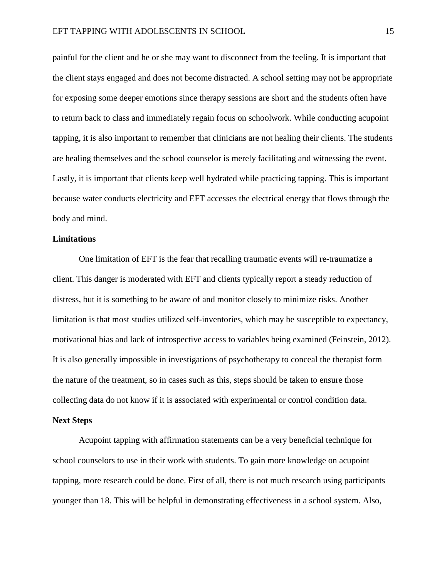painful for the client and he or she may want to disconnect from the feeling. It is important that the client stays engaged and does not become distracted. A school setting may not be appropriate for exposing some deeper emotions since therapy sessions are short and the students often have to return back to class and immediately regain focus on schoolwork. While conducting acupoint tapping, it is also important to remember that clinicians are not healing their clients. The students are healing themselves and the school counselor is merely facilitating and witnessing the event. Lastly, it is important that clients keep well hydrated while practicing tapping. This is important because water conducts electricity and EFT accesses the electrical energy that flows through the body and mind.

## **Limitations**

One limitation of EFT is the fear that recalling traumatic events will re-traumatize a client. This danger is moderated with EFT and clients typically report a steady reduction of distress, but it is something to be aware of and monitor closely to minimize risks. Another limitation is that most studies utilized self-inventories, which may be susceptible to expectancy, motivational bias and lack of introspective access to variables being examined (Feinstein, 2012). It is also generally impossible in investigations of psychotherapy to conceal the therapist form the nature of the treatment, so in cases such as this, steps should be taken to ensure those collecting data do not know if it is associated with experimental or control condition data.

## **Next Steps**

Acupoint tapping with affirmation statements can be a very beneficial technique for school counselors to use in their work with students. To gain more knowledge on acupoint tapping, more research could be done. First of all, there is not much research using participants younger than 18. This will be helpful in demonstrating effectiveness in a school system. Also,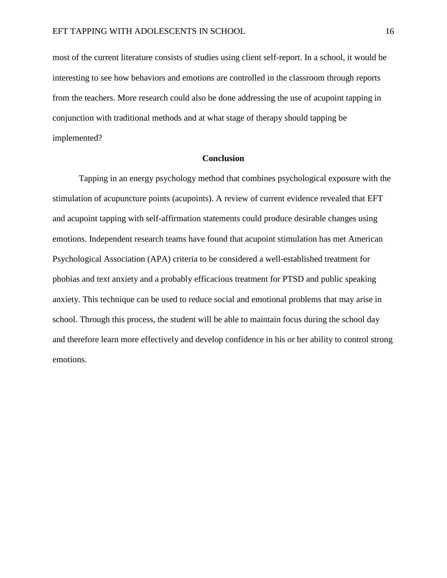most of the current literature consists of studies using client self-report. In a school, it would be interesting to see how behaviors and emotions are controlled in the classroom through reports from the teachers. More research could also be done addressing the use of acupoint tapping in conjunction with traditional methods and at what stage of therapy should tapping be implemented?

## **Conclusion**

Tapping in an energy psychology method that combines psychological exposure with the stimulation of acupuncture points (acupoints). A review of current evidence revealed that EFT and acupoint tapping with self-affirmation statements could produce desirable changes using emotions. Independent research teams have found that acupoint stimulation has met American Psychological Association (APA) criteria to be considered a well-established treatment for phobias and text anxiety and a probably efficacious treatment for PTSD and public speaking anxiety. This technique can be used to reduce social and emotional problems that may arise in school. Through this process, the student will be able to maintain focus during the school day and therefore learn more effectively and develop confidence in his or her ability to control strong emotions.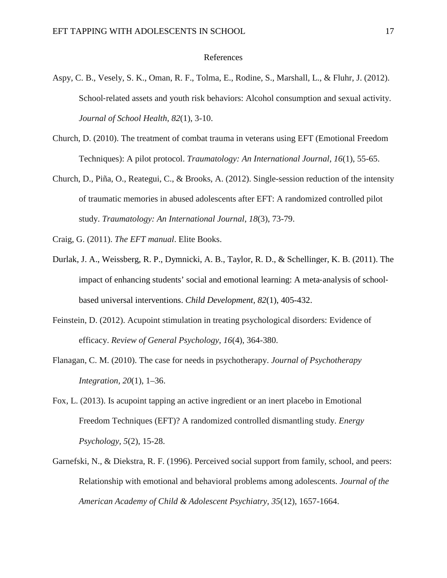## References

- Aspy, C. B., Vesely, S. K., Oman, R. F., Tolma, E., Rodine, S., Marshall, L., & Fluhr, J. (2012). School-related assets and youth risk behaviors: Alcohol consumption and sexual activity. *Journal of School Health*, *82*(1), 3-10.
- Church, D. (2010). The treatment of combat trauma in veterans using EFT (Emotional Freedom Techniques): A pilot protocol. *Traumatology: An International Journal*, *16*(1), 55-65.
- Church, D., Piña, O., Reategui, C., & Brooks, A. (2012). Single-session reduction of the intensity of traumatic memories in abused adolescents after EFT: A randomized controlled pilot study. *Traumatology: An International Journal*, *18*(3), 73-79.
- Craig, G. (2011). *The EFT manual*. Elite Books.
- Durlak, J. A., Weissberg, R. P., Dymnicki, A. B., Taylor, R. D., & Schellinger, K. B. (2011). The impact of enhancing students' social and emotional learning: A meta-analysis of schoolbased universal interventions. *Child Development, 82*(1), 405-432.
- Feinstein, D. (2012). Acupoint stimulation in treating psychological disorders: Evidence of efficacy. *Review of General Psychology*, *16*(4), 364-380.
- Flanagan, C. M. (2010). The case for needs in psychotherapy. *Journal of Psychotherapy Integration, 20*(1), 1–36.
- Fox, L. (2013). Is acupoint tapping an active ingredient or an inert placebo in Emotional Freedom Techniques (EFT)? A randomized controlled dismantling study. *Energy Psychology, 5*(2), 15-28.
- Garnefski, N., & Diekstra, R. F. (1996). Perceived social support from family, school, and peers: Relationship with emotional and behavioral problems among adolescents. *Journal of the American Academy of Child & Adolescent Psychiatry, 35*(12), 1657-1664.